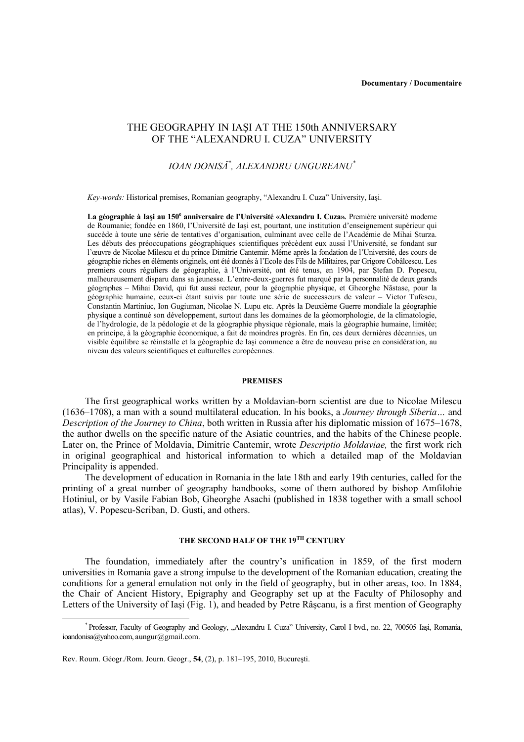# THE GEOGRAPHY IN IAŞI AT THE 150th ANNIVERSARY OF THE "ALEXANDRU I. CUZA" UNIVERSITY

# *IOAN DONISĂ\* , ALEXANDRU UNGUREANU\**

*Key-words:* Historical premises, Romanian geography, "Alexandru I. Cuza" University, Iaşi.

La géographie à Iași au 150<sup>e</sup> anniversaire de l'Université «Alexandru I. Cuza». Première université moderne de Roumanie; fondée en 1860, l'Université de Iaşi est, pourtant, une institution d'enseignement supérieur qui succède à toute une série de tentatives d'organisation, culminant avec celle de l'Académie de Mihai Sturza. Les débuts des préoccupations géographiques scientifiques précèdent eux aussi l'Université, se fondant sur l'œuvre de Nicolae Milescu et du prince Dimitrie Cantemir. Même après la fondation de l'Université, des cours de géographie riches en éléments originels, ont été donnés à l'Ecole des Fils de Militaires, par Grigore Cobâlcescu. Les premiers cours réguliers de géographie, à l'Université, ont été tenus, en 1904, par Ştefan D. Popescu, malheureusement disparu dans sa jeunesse. L'entre-deux-guerres fut marqué par la personnalité de deux grands géographes – Mihai David, qui fut aussi recteur, pour la géographie physique, et Gheorghe Năstase, pour la géographie humaine, ceux-ci étant suivis par toute une série de successeurs de valeur – Victor Tufescu, Constantin Martiniuc, Ion Gugiuman, Nicolae N. Lupu etc. Après la Deuxième Guerre mondiale la géographie physique a continué son développement, surtout dans les domaines de la géomorphologie, de la climatologie, de l'hydrologie, de la pédologie et de la géographie physique régionale, mais la géographie humaine, limitée; en principe, à la géographie économique, a fait de moindres progrès. En fin, ces deux dernières décennies, un visible équilibre se réinstalle et la géographie de Iaşi commence a être de nouveau prise en considération, au niveau des valeurs scientifiques et culturelles européennes.

## **PREMISES**

The first geographical works written by a Moldavian-born scientist are due to Nicolae Milescu (1636–1708), a man with a sound multilateral education. In his books, a *Journey through Siberia…* and *Description of the Journey to China*, both written in Russia after his diplomatic mission of 1675–1678, the author dwells on the specific nature of the Asiatic countries, and the habits of the Chinese people. Later on, the Prince of Moldavia, Dimitrie Cantemir, wrote *Descriptio Moldaviae,* the first work rich in original geographical and historical information to which a detailed map of the Moldavian Principality is appended.

The development of education in Romania in the late 18th and early 19th centuries, called for the printing of a great number of geography handbooks, some of them authored by bishop Amfilohie Hotiniul, or by Vasile Fabian Bob, Gheorghe Asachi (published in 1838 together with a small school atlas), V. Popescu-Scriban, D. Gusti, and others.

# **THE SECOND HALF OF THE 19TH CENTURY**

The foundation, immediately after the country's unification in 1859, of the first modern universities in Romania gave a strong impulse to the development of the Romanian education, creating the conditions for a general emulation not only in the field of geography, but in other areas, too. In 1884, the Chair of Ancient History, Epigraphy and Geography set up at the Faculty of Philosophy and Letters of the University of Iaşi (Fig. 1), and headed by Petre Râşcanu, is a first mention of Geography

 <sup>\*</sup> Professor, Faculty of Geography and Geology, "Alexandru I. Cuza" University, Carol I bvd., no. 22, 700505 Iaşi, Romania, ioandonisa@yahoo.com, aungur@gmail.com.

Rev. Roum. Géogr./Rom. Journ. Geogr., **54**, (2), p. 181–195, 2010, Bucureşti.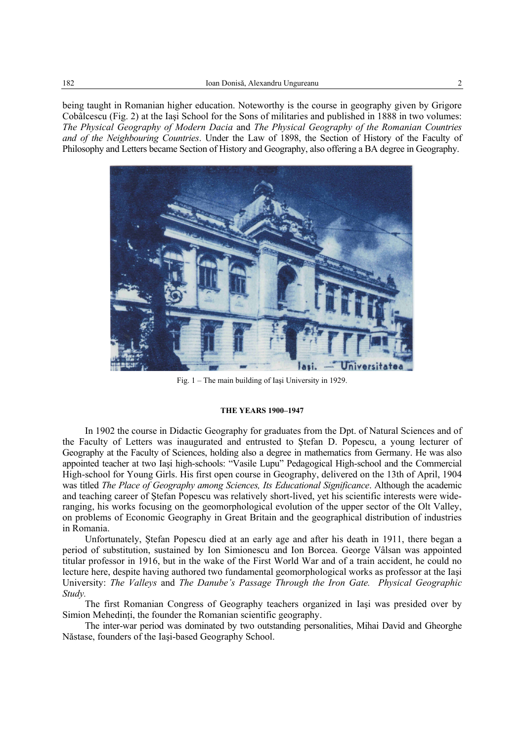being taught in Romanian higher education. Noteworthy is the course in geography given by Grigore Cobâlcescu (Fig. 2) at the Iaşi School for the Sons of militaries and published in 1888 in two volumes: *The Physical Geography of Modern Dacia* and *The Physical Geography of the Romanian Countries and of the Neighbouring Countries*. Under the Law of 1898, the Section of History of the Faculty of Philosophy and Letters became Section of History and Geography, also offering a BA degree in Geography.



Fig. 1 – The main building of Iaşi University in 1929.

## **THE YEARS 1900–1947**

In 1902 the course in Didactic Geography for graduates from the Dpt. of Natural Sciences and of the Faculty of Letters was inaugurated and entrusted to Ştefan D. Popescu, a young lecturer of Geography at the Faculty of Sciences, holding also a degree in mathematics from Germany. He was also appointed teacher at two Iaşi high-schools: "Vasile Lupu" Pedagogical High-school and the Commercial High-school for Young Girls. His first open course in Geography, delivered on the 13th of April, 1904 was titled *The Place of Geography among Sciences, Its Educational Significance*. Although the academic and teaching career of Ştefan Popescu was relatively short-lived, yet his scientific interests were wideranging, his works focusing on the geomorphological evolution of the upper sector of the Olt Valley, on problems of Economic Geography in Great Britain and the geographical distribution of industries in Romania.

Unfortunately, Ştefan Popescu died at an early age and after his death in 1911, there began a period of substitution, sustained by Ion Simionescu and Ion Borcea. George Vâlsan was appointed titular professor in 1916, but in the wake of the First World War and of a train accident, he could no lecture here, despite having authored two fundamental geomorphological works as professor at the Iaşi University: *The Valleys* and *The Danube's Passage Through the Iron Gate. Physical Geographic Study.*

The first Romanian Congress of Geography teachers organized in Iaşi was presided over by Simion Mehedinți, the founder the Romanian scientific geography.

The inter-war period was dominated by two outstanding personalities, Mihai David and Gheorghe Năstase, founders of the Iaşi-based Geography School.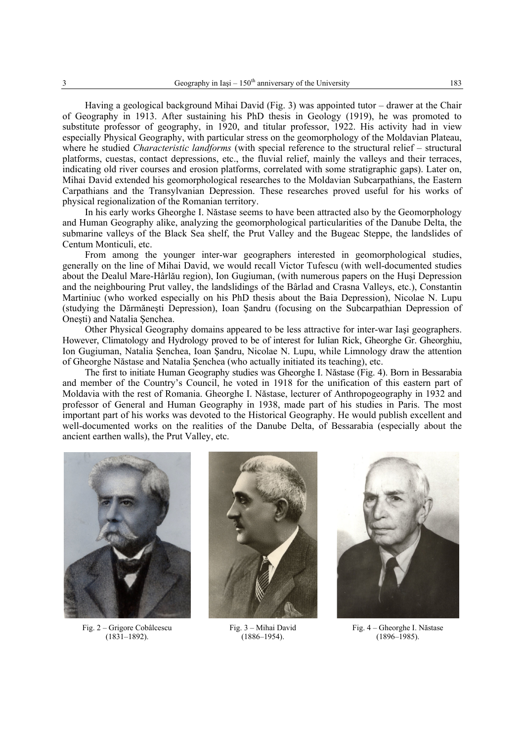Having a geological background Mihai David (Fig. 3) was appointed tutor – drawer at the Chair of Geography in 1913. After sustaining his PhD thesis in Geology (1919), he was promoted to substitute professor of geography, in 1920, and titular professor, 1922. His activity had in view especially Physical Geography, with particular stress on the geomorphology of the Moldavian Plateau, where he studied *Characteristic landforms* (with special reference to the structural relief – structural platforms, cuestas, contact depressions, etc., the fluvial relief, mainly the valleys and their terraces, indicating old river courses and erosion platforms, correlated with some stratigraphic gaps). Later on, Mihai David extended his geomorphological researches to the Moldavian Subcarpathians, the Eastern Carpathians and the Transylvanian Depression. These researches proved useful for his works of physical regionalization of the Romanian territory.

In his early works Gheorghe I. Năstase seems to have been attracted also by the Geomorphology and Human Geography alike, analyzing the geomorphological particularities of the Danube Delta, the submarine valleys of the Black Sea shelf, the Prut Valley and the Bugeac Steppe, the landslides of Centum Monticuli, etc.

From among the younger inter-war geographers interested in geomorphological studies, generally on the line of Mihai David, we would recall Victor Tufescu (with well-documented studies about the Dealul Mare-Hârlău region), Ion Gugiuman, (with numerous papers on the Huşi Depression and the neighbouring Prut valley, the landslidings of the Bârlad and Crasna Valleys, etc.), Constantin Martiniuc (who worked especially on his PhD thesis about the Baia Depression), Nicolae N. Lupu (studying the Dărmăneşti Depression), Ioan Şandru (focusing on the Subcarpathian Depression of Oneşti) and Natalia Şenchea.

Other Physical Geography domains appeared to be less attractive for inter-war Iaşi geographers. However, Climatology and Hydrology proved to be of interest for Iulian Rick, Gheorghe Gr. Gheorghiu, Ion Gugiuman, Natalia Şenchea, Ioan Şandru, Nicolae N. Lupu, while Limnology draw the attention of Gheorghe Năstase and Natalia Şenchea (who actually initiated its teaching), etc.

The first to initiate Human Geography studies was Gheorghe I. Năstase (Fig. 4). Born in Bessarabia and member of the Country's Council, he voted in 1918 for the unification of this eastern part of Moldavia with the rest of Romania. Gheorghe I. Năstase, lecturer of Anthropogeography in 1932 and professor of General and Human Geography in 1938, made part of his studies in Paris. The most important part of his works was devoted to the Historical Geography. He would publish excellent and well-documented works on the realities of the Danube Delta, of Bessarabia (especially about the ancient earthen walls), the Prut Valley, etc.



Fig. 2 – Grigore Cobâlcescu (1831–1892).



Fig. 3 – Mihai David (1886–1954).



Fig. 4 – Gheorghe I. Năstase (1896–1985).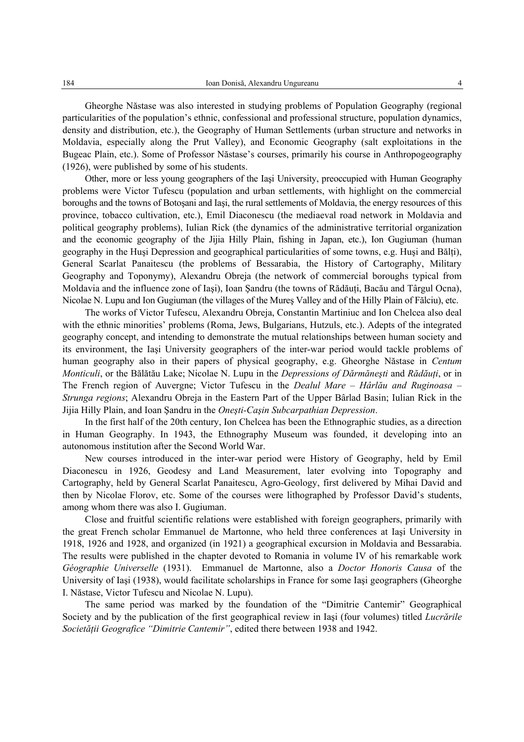Gheorghe Năstase was also interested in studying problems of Population Geography (regional particularities of the population's ethnic, confessional and professional structure, population dynamics, density and distribution, etc.), the Geography of Human Settlements (urban structure and networks in Moldavia, especially along the Prut Valley), and Economic Geography (salt exploitations in the Bugeac Plain, etc.). Some of Professor Năstase's courses, primarily his course in Anthropogeography (1926), were published by some of his students.

Other, more or less young geographers of the Iaşi University, preoccupied with Human Geography problems were Victor Tufescu (population and urban settlements, with highlight on the commercial boroughs and the towns of Botoşani and Iaşi, the rural settlements of Moldavia, the energy resources of this province, tobacco cultivation, etc.), Emil Diaconescu (the mediaeval road network in Moldavia and political geography problems), Iulian Rick (the dynamics of the administrative territorial organization and the economic geography of the Jijia Hilly Plain, fishing in Japan, etc.), Ion Gugiuman (human geography in the Huşi Depression and geographical particularities of some towns, e.g. Huşi and Bălţi), General Scarlat Panaitescu (the problems of Bessarabia, the History of Cartography, Military Geography and Toponymy), Alexandru Obreja (the network of commercial boroughs typical from Moldavia and the influence zone of Iași), Ioan Sandru (the towns of Rădăuți, Bacău and Târgul Ocna), Nicolae N. Lupu and Ion Gugiuman (the villages of the Mureş Valley and of the Hilly Plain of Fălciu), etc.

The works of Victor Tufescu, Alexandru Obreja, Constantin Martiniuc and Ion Chelcea also deal with the ethnic minorities' problems (Roma, Jews, Bulgarians, Hutzuls, etc.). Adepts of the integrated geography concept, and intending to demonstrate the mutual relationships between human society and its environment, the Iaşi University geographers of the inter-war period would tackle problems of human geography also in their papers of physical geography, e.g. Gheorghe Năstase in *Centum Monticuli*, or the Bălătău Lake; Nicolae N. Lupu in the *Depressions of Dărmăneşti* and *Rădăuţi*, or in The French region of Auvergne; Victor Tufescu in the *Dealul Mare – Hârlău and Ruginoasa – Strunga regions*; Alexandru Obreja in the Eastern Part of the Upper Bârlad Basin; Iulian Rick in the Jijia Hilly Plain, and Ioan Şandru in the *Oneşti-Caşin Subcarpathian Depression*.

In the first half of the 20th century, Ion Chelcea has been the Ethnographic studies, as a direction in Human Geography. In 1943, the Ethnography Museum was founded, it developing into an autonomous institution after the Second World War.

New courses introduced in the inter-war period were History of Geography, held by Emil Diaconescu in 1926, Geodesy and Land Measurement, later evolving into Topography and Cartography, held by General Scarlat Panaitescu, Agro-Geology, first delivered by Mihai David and then by Nicolae Florov, etc. Some of the courses were lithographed by Professor David's students, among whom there was also I. Gugiuman.

Close and fruitful scientific relations were established with foreign geographers, primarily with the great French scholar Emmanuel de Martonne, who held three conferences at Iaşi University in 1918, 1926 and 1928, and organized (in 1921) a geographical excursion in Moldavia and Bessarabia. The results were published in the chapter devoted to Romania in volume IV of his remarkable work *Géographie Universelle* (1931). Emmanuel de Martonne, also a *Doctor Honoris Causa* of the University of Iaşi (1938), would facilitate scholarships in France for some Iaşi geographers (Gheorghe I. Năstase, Victor Tufescu and Nicolae N. Lupu).

The same period was marked by the foundation of the "Dimitrie Cantemir" Geographical Society and by the publication of the first geographical review in Iaşi (four volumes) titled *Lucrările Societăţii Geografice "Dimitrie Cantemir"*, edited there between 1938 and 1942.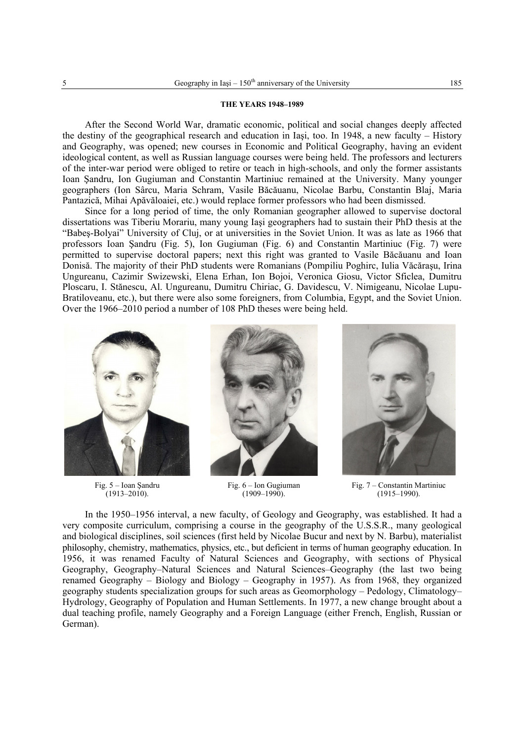## **THE YEARS 1948–1989**

After the Second World War, dramatic economic, political and social changes deeply affected the destiny of the geographical research and education in Iaşi, too. In 1948, a new faculty – History and Geography, was opened; new courses in Economic and Political Geography, having an evident ideological content, as well as Russian language courses were being held. The professors and lecturers of the inter-war period were obliged to retire or teach in high-schools, and only the former assistants Ioan Şandru, Ion Gugiuman and Constantin Martiniuc remained at the University. Many younger geographers (Ion Sârcu, Maria Schram, Vasile Băcăuanu, Nicolae Barbu, Constantin Blaj, Maria Pantazică, Mihai Apăvăloaiei, etc.) would replace former professors who had been dismissed.

Since for a long period of time, the only Romanian geographer allowed to supervise doctoral dissertations was Tiberiu Morariu, many young Iaşi geographers had to sustain their PhD thesis at the "Babeş-Bolyai" University of Cluj, or at universities in the Soviet Union. It was as late as 1966 that professors Ioan Şandru (Fig. 5), Ion Gugiuman (Fig. 6) and Constantin Martiniuc (Fig. 7) were permitted to supervise doctoral papers; next this right was granted to Vasile Băcăuanu and Ioan Donisă. The majority of their PhD students were Romanians (Pompiliu Poghirc, Iulia Văcăraşu, Irina Ungureanu, Cazimir Swizewski, Elena Erhan, Ion Bojoi, Veronica Giosu, Victor Sficlea, Dumitru Ploscaru, I. Stănescu, Al. Ungureanu, Dumitru Chiriac, G. Davidescu, V. Nimigeanu, Nicolae Lupu-Bratiloveanu, etc.), but there were also some foreigners, from Columbia, Egypt, and the Soviet Union. Over the 1966–2010 period a number of 108 PhD theses were being held.



Fig. 5 – Ioan Şandru (1913–2010).



Fig. 6 – Ion Gugiuman (1909–1990).



Fig. 7 – Constantin Martiniuc (1915–1990).

In the 1950–1956 interval, a new faculty, of Geology and Geography, was established. It had a very composite curriculum, comprising a course in the geography of the U.S.S.R., many geological and biological disciplines, soil sciences (first held by Nicolae Bucur and next by N. Barbu), materialist philosophy, chemistry, mathematics, physics, etc., but deficient in terms of human geography education. In 1956, it was renamed Faculty of Natural Sciences and Geography, with sections of Physical Geography, Geography–Natural Sciences and Natural Sciences–Geography (the last two being renamed Geography – Biology and Biology – Geography in 1957). As from 1968, they organized geography students specialization groups for such areas as Geomorphology – Pedology, Climatology– Hydrology, Geography of Population and Human Settlements. In 1977, a new change brought about a dual teaching profile, namely Geography and a Foreign Language (either French, English, Russian or German).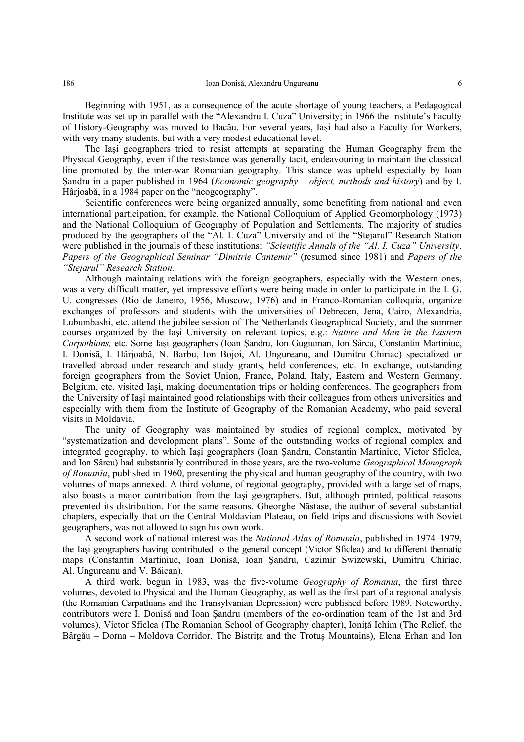Beginning with 1951, as a consequence of the acute shortage of young teachers, a Pedagogical Institute was set up in parallel with the "Alexandru I. Cuza" University; in 1966 the Institute's Faculty of History-Geography was moved to Bacău. For several years, Iaşi had also a Faculty for Workers, with very many students, but with a very modest educational level.

The Iaşi geographers tried to resist attempts at separating the Human Geography from the Physical Geography, even if the resistance was generally tacit, endeavouring to maintain the classical line promoted by the inter-war Romanian geography. This stance was upheld especially by Ioan Şandru in a paper published in 1964 (*Economic geography – object, methods and history*) and by I. Hârjoabă, in a 1984 paper on the "neogeography".

Scientific conferences were being organized annually, some benefiting from national and even international participation, for example, the National Colloquium of Applied Geomorphology (1973) and the National Colloquium of Geography of Population and Settlements. The majority of studies produced by the geographers of the "Al. I. Cuza" University and of the "Stejarul" Research Station were published in the journals of these institutions: *"Scientific Annals of the "Al. I. Cuza" University*, *Papers of the Geographical Seminar "Dimitrie Cantemir"* (resumed since 1981) and *Papers of the "Stejarul" Research Station.*

Although maintaing relations with the foreign geographers, especially with the Western ones, was a very difficult matter, yet impressive efforts were being made in order to participate in the I. G. U. congresses (Rio de Janeiro, 1956, Moscow, 1976) and in Franco-Romanian colloquia, organize exchanges of professors and students with the universities of Debrecen, Jena, Cairo, Alexandria, Lubumbashi, etc. attend the jubilee session of The Netherlands Geographical Society, and the summer courses organized by the Iaşi University on relevant topics, e.g.: *Nature and Man in the Eastern Carpathians,* etc. Some Iaşi geographers (Ioan Şandru, Ion Gugiuman, Ion Sârcu, Constantin Martiniuc, I. Donisă, I. Hârjoabă, N. Barbu, Ion Bojoi, Al. Ungureanu, and Dumitru Chiriac) specialized or travelled abroad under research and study grants, held conferences, etc. In exchange, outstanding foreign geographers from the Soviet Union, France, Poland, Italy, Eastern and Western Germany, Belgium, etc. visited Iaşi, making documentation trips or holding conferences. The geographers from the University of Iaşi maintained good relationships with their colleagues from others universities and especially with them from the Institute of Geography of the Romanian Academy, who paid several visits in Moldavia.

The unity of Geography was maintained by studies of regional complex, motivated by "systematization and development plans". Some of the outstanding works of regional complex and integrated geography, to which Iaşi geographers (Ioan Şandru, Constantin Martiniuc, Victor Sficlea, and Ion Sârcu) had substantially contributed in those years, are the two-volume *Geographical Monograph of Romania*, published in 1960, presenting the physical and human geography of the country, with two volumes of maps annexed. A third volume, of regional geography, provided with a large set of maps, also boasts a major contribution from the Iaşi geographers. But, although printed, political reasons prevented its distribution. For the same reasons, Gheorghe Năstase, the author of several substantial chapters, especially that on the Central Moldavian Plateau, on field trips and discussions with Soviet geographers, was not allowed to sign his own work.

A second work of national interest was the *National Atlas of Romania*, published in 1974–1979, the Iaşi geographers having contributed to the general concept (Victor Sficlea) and to different thematic maps (Constantin Martiniuc, Ioan Donisă, Ioan Şandru, Cazimir Swizewski, Dumitru Chiriac, Al. Ungureanu and V. Băican).

A third work, begun in 1983, was the five-volume *Geography of Romania*, the first three volumes, devoted to Physical and the Human Geography, as well as the first part of a regional analysis (the Romanian Carpathians and the Transylvanian Depression) were published before 1989. Noteworthy, contributors were I. Donisă and Ioan Şandru (members of the co-ordination team of the 1st and 3rd volumes), Victor Sficlea (The Romanian School of Geography chapter), Ionită Ichim (The Relief, the Bârgău – Dorna – Moldova Corridor, The Bistrita and the Trotus Mountains), Elena Erhan and Ion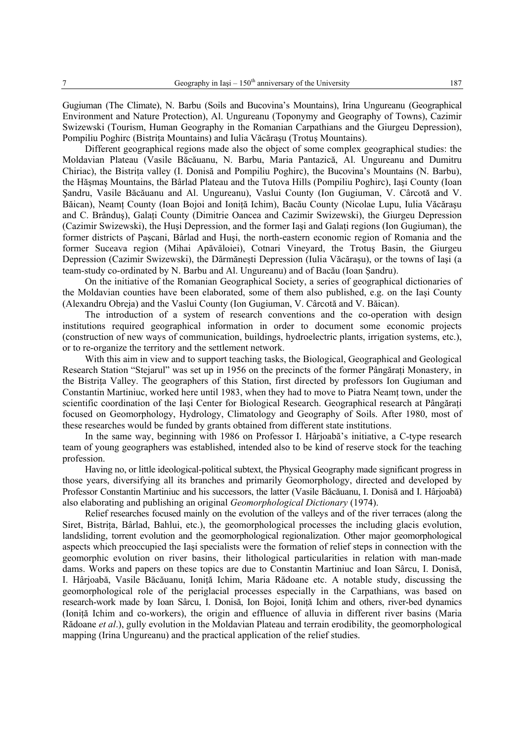Gugiuman (The Climate), N. Barbu (Soils and Bucovina's Mountains), Irina Ungureanu (Geographical Environment and Nature Protection), Al. Ungureanu (Toponymy and Geography of Towns), Cazimir Swizewski (Tourism, Human Geography in the Romanian Carpathians and the Giurgeu Depression), Pompiliu Poghirc (Bistriţa Mountains) and Iulia Văcăraşu (Trotuş Mountains).

Different geographical regions made also the object of some complex geographical studies: the Moldavian Plateau (Vasile Băcăuanu, N. Barbu, Maria Pantazică, Al. Ungureanu and Dumitru Chiriac), the Bistriţa valley (I. Donisă and Pompiliu Poghirc), the Bucovina's Mountains (N. Barbu), the Hăşmaş Mountains, the Bârlad Plateau and the Tutova Hills (Pompiliu Poghirc), Iaşi County (Ioan Şandru, Vasile Băcăuanu and Al. Ungureanu), Vaslui County (Ion Gugiuman, V. Cârcotă and V. Băican), Neamt County (Ioan Bojoi and Ionită Ichim), Bacău County (Nicolae Lupu, Iulia Văcărașu and C. Brândus), Galati County (Dimitrie Oancea and Cazimir Swizewski), the Giurgeu Depression (Cazimir Swizewski), the Huşi Depression, and the former Iaşi and Galaţi regions (Ion Gugiuman), the former districts of Paşcani, Bârlad and Huşi, the north-eastern economic region of Romania and the former Suceava region (Mihai Apăvăloiei), Cotnari Vineyard, the Trotuş Basin, the Giurgeu Depression (Cazimir Swizewski), the Dărmăneşti Depression (Iulia Văcăraşu), or the towns of Iaşi (a team-study co-ordinated by N. Barbu and Al. Ungureanu) and of Bacău (Ioan Şandru).

On the initiative of the Romanian Geographical Society, a series of geographical dictionaries of the Moldavian counties have been elaborated, some of them also published, e.g. on the Iaşi County (Alexandru Obreja) and the Vaslui County (Ion Gugiuman, V. Cârcotă and V. Băican).

The introduction of a system of research conventions and the co-operation with design institutions required geographical information in order to document some economic projects (construction of new ways of communication, buildings, hydroelectric plants, irrigation systems, etc.), or to re-organize the territory and the settlement network.

With this aim in view and to support teaching tasks, the Biological, Geographical and Geological Research Station "Stejarul" was set up in 1956 on the precincts of the former Pângăraţi Monastery, in the Bistrita Valley. The geographers of this Station, first directed by professors Ion Gugiuman and Constantin Martiniuc, worked here until 1983, when they had to move to Piatra Neamţ town, under the scientific coordination of the Iasi Center for Biological Research. Geographical research at Pângărati focused on Geomorphology, Hydrology, Climatology and Geography of Soils. After 1980, most of these researches would be funded by grants obtained from different state institutions.

In the same way, beginning with 1986 on Professor I. Hârjoabă's initiative, a C-type research team of young geographers was established, intended also to be kind of reserve stock for the teaching profession.

Having no, or little ideological-political subtext, the Physical Geography made significant progress in those years, diversifying all its branches and primarily Geomorphology, directed and developed by Professor Constantin Martiniuc and his successors, the latter (Vasile Băcăuanu, I. Donisă and I. Hârjoabă) also elaborating and publishing an original *Geomorphological Dictionary* (1974).

Relief researches focused mainly on the evolution of the valleys and of the river terraces (along the Siret, Bistrița, Bârlad, Bahlui, etc.), the geomorphological processes the including glacis evolution, landsliding, torrent evolution and the geomorphological regionalization. Other major geomorphological aspects which preoccupied the Iaşi specialists were the formation of relief steps in connection with the geomorphic evolution on river basins, their lithological particularities in relation with man-made dams. Works and papers on these topics are due to Constantin Martiniuc and Ioan Sârcu, I. Donisă, I. Hârjoabă, Vasile Băcăuanu, Ioniţă Ichim, Maria Rădoane etc. A notable study, discussing the geomorphological role of the periglacial processes especially in the Carpathians, was based on research-work made by Ioan Sârcu, I. Donisă, Ion Bojoi, Ioniţă Ichim and others, river-bed dynamics (Ioniţă Ichim and co-workers), the origin and effluence of alluvia in different river basins (Maria Rădoane *et al*.), gully evolution in the Moldavian Plateau and terrain erodibility, the geomorphological mapping (Irina Ungureanu) and the practical application of the relief studies.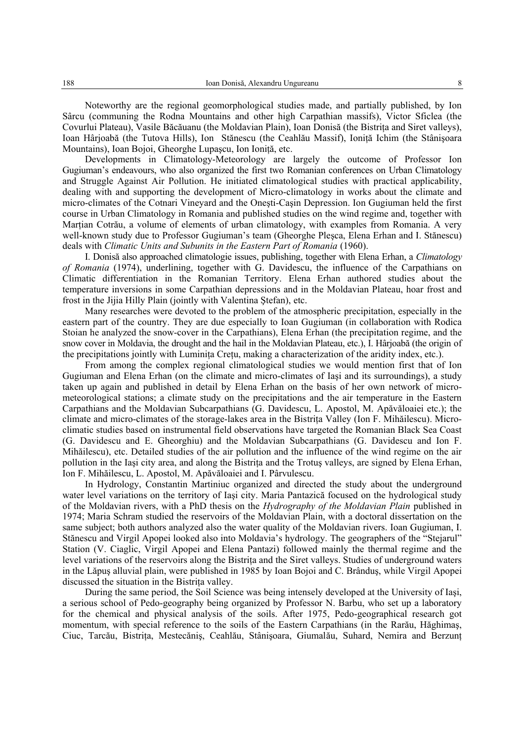Noteworthy are the regional geomorphological studies made, and partially published, by Ion Sârcu (communing the Rodna Mountains and other high Carpathian massifs), Victor Sficlea (the Covurlui Plateau), Vasile Băcăuanu (the Moldavian Plain), Ioan Donisă (the Bistriţa and Siret valleys), Ioan Hârjoabă (the Tutova Hills), Ion Stănescu (the Ceahlău Massif), Ionită Ichim (the Stânișoara Mountains), Ioan Bojoi, Gheorghe Lupaşcu, Ion Ioniţă, etc.

Developments in Climatology-Meteorology are largely the outcome of Professor Ion Gugiuman's endeavours, who also organized the first two Romanian conferences on Urban Climatology and Struggle Against Air Pollution. He initiated climatological studies with practical applicability, dealing with and supporting the development of Micro-climatology in works about the climate and micro-climates of the Cotnari Vineyard and the Oneşti-Caşin Depression. Ion Gugiuman held the first course in Urban Climatology in Romania and published studies on the wind regime and, together with Martian Cotrău, a volume of elements of urban climatology, with examples from Romania. A very well-known study due to Professor Gugiuman's team (Gheorghe Pleşca, Elena Erhan and I. Stănescu) deals with *Climatic Units and Subunits in the Eastern Part of Romania* (1960).

I. Donisă also approached climatologie issues, publishing, together with Elena Erhan, a *Climatology of Romania* (1974), underlining, together with G. Davidescu, the influence of the Carpathians on Climatic differentiation in the Romanian Territory. Elena Erhan authored studies about the temperature inversions in some Carpathian depressions and in the Moldavian Plateau, hoar frost and frost in the Jijia Hilly Plain (jointly with Valentina Ştefan), etc.

Many researches were devoted to the problem of the atmospheric precipitation, especially in the eastern part of the country. They are due especially to Ioan Gugiuman (in collaboration with Rodica Stoian he analyzed the snow-cover in the Carpathians), Elena Erhan (the precipitation regime, and the snow cover in Moldavia, the drought and the hail in the Moldavian Plateau, etc.), I. Hârjoabă (the origin of the precipitations jointly with Luminita Cretu, making a characterization of the aridity index, etc.).

From among the complex regional climatological studies we would mention first that of Ion Gugiuman and Elena Erhan (on the climate and micro-climates of Iaşi and its surroundings), a study taken up again and published in detail by Elena Erhan on the basis of her own network of micrometeorological stations; a climate study on the precipitations and the air temperature in the Eastern Carpathians and the Moldavian Subcarpathians (G. Davidescu, L. Apostol, M. Apăvăloaiei etc.); the climate and micro-climates of the storage-lakes area in the Bistriţa Valley (Ion F. Mihăilescu). Microclimatic studies based on instrumental field observations have targeted the Romanian Black Sea Coast (G. Davidescu and E. Gheorghiu) and the Moldavian Subcarpathians (G. Davidescu and Ion F. Mihăilescu), etc. Detailed studies of the air pollution and the influence of the wind regime on the air pollution in the Iasi city area, and along the Bistrita and the Trotus valleys, are signed by Elena Erhan, Ion F. Mihăilescu, L. Apostol, M. Apăvăloaiei and I. Pârvulescu.

In Hydrology, Constantin Martiniuc organized and directed the study about the underground water level variations on the territory of Iaşi city. Maria Pantazică focused on the hydrological study of the Moldavian rivers, with a PhD thesis on the *Hydrography of the Moldavian Plain* published in 1974; Maria Schram studied the reservoirs of the Moldavian Plain, with a doctoral dissertation on the same subject; both authors analyzed also the water quality of the Moldavian rivers. Ioan Gugiuman, I. Stănescu and Virgil Apopei looked also into Moldavia's hydrology. The geographers of the "Stejarul" Station (V. Ciaglic, Virgil Apopei and Elena Pantazi) followed mainly the thermal regime and the level variations of the reservoirs along the Bistrita and the Siret valleys. Studies of underground waters in the Lăpuş alluvial plain, were published in 1985 by Ioan Bojoi and C. Brânduş, while Virgil Apopei discussed the situation in the Bistrita valley.

During the same period, the Soil Science was being intensely developed at the University of Iaşi, a serious school of Pedo-geography being organized by Professor N. Barbu, who set up a laboratory for the chemical and physical analysis of the soils. After 1975, Pedo-geographical research got momentum, with special reference to the soils of the Eastern Carpathians (in the Rarău, Hăghimaş, Ciuc, Tarcău, Bistrita, Mestecănis, Ceahlău, Stânisoara, Giumalău, Suhard, Nemira and Berzunt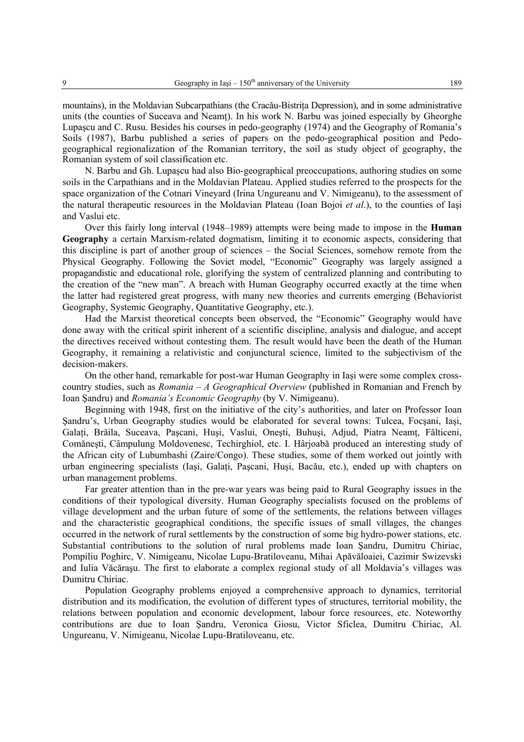mountains), in the Moldavian Subcarpathians (the Cracău-Bistrita Depression), and in some administrative units (the counties of Suceava and Neamt). In his work N. Barbu was joined especially by Gheorghe Lupaşcu and C. Rusu. Besides his courses in pedo-geography (1974) and the Geography of Romania's Soils (1987), Barbu published a series of papers on the pedo-geographical position and Pedogeographical regionalization of the Romanian territory, the soil as study object of geography, the Romanian system of soil classification etc.

N. Barbu and Gh. Lupaşcu had also Bio-geographical preoccupations, authoring studies on some soils in the Carpathians and in the Moldavian Plateau. Applied studies referred to the prospects for the space organization of the Cotnari Vineyard (Irina Ungureanu and V. Nimigeanu), to the assessment of the natural therapeutic resources in the Moldavian Plateau (Ioan Bojoi *et al*.), to the counties of Iaşi and Vaslui etc.

Over this fairly long interval (1948–1989) attempts were being made to impose in the **Human Geography** a certain Marxism-related dogmatism, limiting it to economic aspects, considering that this discipline is part of another group of sciences – the Social Sciences, somehow remote from the Physical Geography. Following the Soviet model, "Economic" Geography was largely assigned a propagandistic and educational role, glorifying the system of centralized planning and contributing to the creation of the "new man". A breach with Human Geography occurred exactly at the time when the latter had registered great progress, with many new theories and currents emerging (Behaviorist Geography, Systemic Geography, Quantitative Geography, etc.).

Had the Marxist theoretical concepts been observed, the "Economic" Geography would have done away with the critical spirit inherent of a scientific discipline, analysis and dialogue, and accept the directives received without contesting them. The result would have been the death of the Human Geography, it remaining a relativistic and conjunctural science, limited to the subjectivism of the decision-makers.

On the other hand, remarkable for post-war Human Geography in Iaşi were some complex crosscountry studies, such as *Romania – A Geographical Overview* (published in Romanian and French by Ioan Şandru) and *Romania's Economic Geography* (by V. Nimigeanu).

Beginning with 1948, first on the initiative of the city's authorities, and later on Professor Ioan Şandru's, Urban Geography studies would be elaborated for several towns: Tulcea, Focşani, Iaşi, Galati, Brăila, Suceava, Pascani, Husi, Vaslui, Onesti, Buhusi, Adjud, Piatra Neamt, Fălticeni, Comăneşti, Câmpulung Moldovenesc, Techirghiol, etc. I. Hârjoabă produced an interesting study of the African city of Lubumbashi (Zaire/Congo). These studies, some of them worked out jointly with urban engineering specialists (Iaşi, Galaţi, Paşcani, Huşi, Bacău, etc.), ended up with chapters on urban management problems.

Far greater attention than in the pre-war years was being paid to Rural Geography issues in the conditions of their typological diversity. Human Geography specialists focused on the problems of village development and the urban future of some of the settlements, the relations between villages and the characteristic geographical conditions, the specific issues of small villages, the changes occurred in the network of rural settlements by the construction of some big hydro-power stations, etc. Substantial contributions to the solution of rural problems made Ioan Şandru, Dumitru Chiriac, Pompiliu Poghirc, V. Nimigeanu, Nicolae Lupu-Bratiloveanu, Mihai Apăvăloaiei, Cazimir Swizevski and Iulia Văcăraşu. The first to elaborate a complex regional study of all Moldavia's villages was Dumitru Chiriac.

Population Geography problems enjoyed a comprehensive approach to dynamics, territorial distribution and its modification, the evolution of different types of structures, territorial mobility, the relations between population and economic development, labour force resources, etc. Noteworthy contributions are due to Ioan Şandru, Veronica Giosu, Victor Sficlea, Dumitru Chiriac, Al. Ungureanu, V. Nimigeanu, Nicolae Lupu-Bratiloveanu, etc.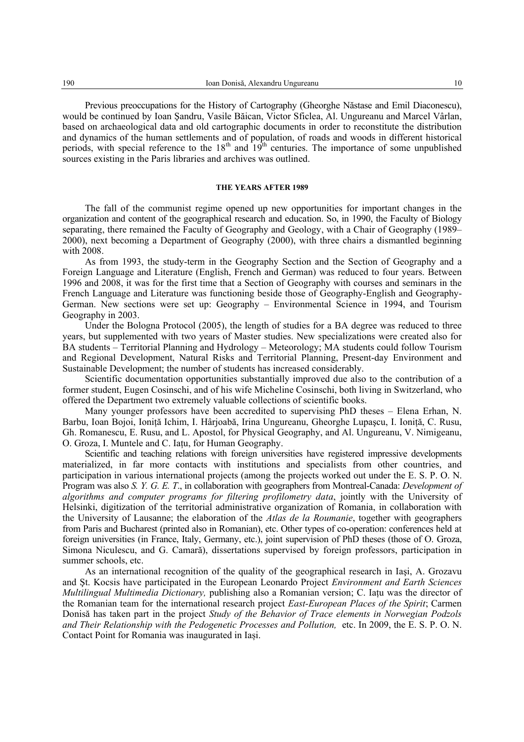Previous preoccupations for the History of Cartography (Gheorghe Năstase and Emil Diaconescu), would be continued by Ioan Şandru, Vasile Băican, Victor Sficlea, Al. Ungureanu and Marcel Vârlan, based on archaeological data and old cartographic documents in order to reconstitute the distribution and dynamics of the human settlements and of population, of roads and woods in different historical periods, with special reference to the 18<sup>th</sup> and 19<sup>th</sup> centuries. The importance of some unpublished sources existing in the Paris libraries and archives was outlined.

## **THE YEARS AFTER 1989**

The fall of the communist regime opened up new opportunities for important changes in the organization and content of the geographical research and education. So, in 1990, the Faculty of Biology separating, there remained the Faculty of Geography and Geology, with a Chair of Geography (1989– 2000), next becoming a Department of Geography (2000), with three chairs a dismantled beginning with 2008.

As from 1993, the study-term in the Geography Section and the Section of Geography and a Foreign Language and Literature (English, French and German) was reduced to four years. Between 1996 and 2008, it was for the first time that a Section of Geography with courses and seminars in the French Language and Literature was functioning beside those of Geography-English and Geography-German. New sections were set up: Geography – Environmental Science in 1994, and Tourism Geography in 2003.

Under the Bologna Protocol (2005), the length of studies for a BA degree was reduced to three years, but supplemented with two years of Master studies. New specializations were created also for BA students – Territorial Planning and Hydrology – Meteorology; MA students could follow Tourism and Regional Development, Natural Risks and Territorial Planning, Present-day Environment and Sustainable Development; the number of students has increased considerably.

Scientific documentation opportunities substantially improved due also to the contribution of a former student, Eugen Cosinschi, and of his wife Micheline Cosinschi, both living in Switzerland, who offered the Department two extremely valuable collections of scientific books.

Many younger professors have been accredited to supervising PhD theses – Elena Erhan, N. Barbu, Ioan Bojoi, Ioniţă Ichim, I. Hârjoabă, Irina Ungureanu, Gheorghe Lupaşcu, I. Ioniţă, C. Rusu, Gh. Romanescu, E. Rusu, and L. Apostol, for Physical Geography, and Al. Ungureanu, V. Nimigeanu, O. Groza, I. Muntele and C. Iaţu, for Human Geography.

Scientific and teaching relations with foreign universities have registered impressive developments materialized, in far more contacts with institutions and specialists from other countries, and participation in various international projects (among the projects worked out under the E. S. P. O. N. Program was also *S. Y. G. E. T*., in collaboration with geographers from Montreal-Canada: *Development of algorithms and computer programs for filtering profilometry data*, jointly with the University of Helsinki, digitization of the territorial administrative organization of Romania, in collaboration with the University of Lausanne; the elaboration of the *Atlas de la Roumanie*, together with geographers from Paris and Bucharest (printed also in Romanian), etc. Other types of co-operation: conferences held at foreign universities (in France, Italy, Germany, etc.), joint supervision of PhD theses (those of O. Groza, Simona Niculescu, and G. Camară), dissertations supervised by foreign professors, participation in summer schools, etc.

As an international recognition of the quality of the geographical research in Iaşi, A. Grozavu and Şt. Kocsis have participated in the European Leonardo Project *Environment and Earth Sciences Multilingual Multimedia Dictionary,* publishing also a Romanian version; C. Iaţu was the director of the Romanian team for the international research project *East-European Places of the Spirit*; Carmen Donisă has taken part in the project *Study of the Behavior of Trace elements in Norwegian Podzols and Their Relationship with the Pedogenetic Processes and Pollution,* etc. In 2009, the E. S. P. O. N. Contact Point for Romania was inaugurated in Iași.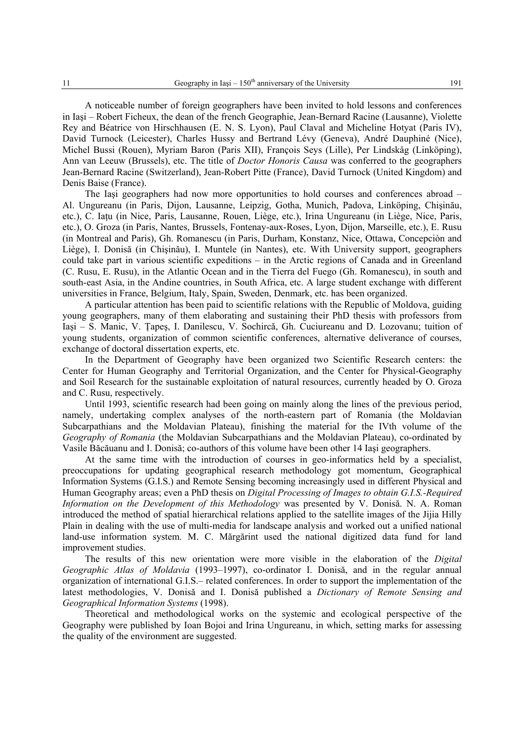A noticeable number of foreign geographers have been invited to hold lessons and conferences in Iaşi – Robert Ficheux, the dean of the french Geographie, Jean-Bernard Racine (Lausanne), Violette Rey and Béatrice von Hirschhausen (E. N. S. Lyon), Paul Claval and Micheline Hotyat (Paris IV), David Turnock (Leicester), Charles Hussy and Bertrand Lévy (Geneva), André Dauphiné (Nice), Michel Bussi (Rouen), Myriam Baron (Paris XII), François Seys (Lille), Per Lindskåg (Linköping), Ann van Leeuw (Brussels), etc. The title of *Doctor Honoris Causa* was conferred to the geographers Jean-Bernard Racine (Switzerland), Jean-Robert Pitte (France), David Turnock (United Kingdom) and Denis Baise (France).

The Iaşi geographers had now more opportunities to hold courses and conferences abroad – Al. Ungureanu (in Paris, Dijon, Lausanne, Leipzig, Gotha, Munich, Padova, Linköping, Chişinău, etc.), C. Iaţu (in Nice, Paris, Lausanne, Rouen, Liège, etc.), Irina Ungureanu (in Liège, Nice, Paris, etc.), O. Groza (in Paris, Nantes, Brussels, Fontenay-aux-Roses, Lyon, Dijon, Marseille, etc.), E. Rusu (in Montreal and Paris), Gh. Romanescu (in Paris, Durham, Konstanz, Nice, Ottawa, Concepciòn and Liège), I. Donisă (in Chişinău), I. Muntele (in Nantes), etc. With University support, geographers could take part in various scientific expeditions – in the Arctic regions of Canada and in Greenland (C. Rusu, E. Rusu), in the Atlantic Ocean and in the Tierra del Fuego (Gh. Romanescu), in south and south-east Asia, in the Andine countries, in South Africa, etc. A large student exchange with different universities in France, Belgium, Italy, Spain, Sweden, Denmark, etc. has been organized.

A particular attention has been paid to scientific relations with the Republic of Moldova, guiding young geographers, many of them elaborating and sustaining their PhD thesis with professors from Iaşi – S. Manic, V. Ţapeş, I. Danilescu, V. Sochircă, Gh. Cuciureanu and D. Lozovanu; tuition of young students, organization of common scientific conferences, alternative deliverance of courses, exchange of doctoral dissertation experts, etc.

In the Department of Geography have been organized two Scientific Research centers: the Center for Human Geography and Territorial Organization, and the Center for Physical-Geography and Soil Research for the sustainable exploitation of natural resources, currently headed by O. Groza and C. Rusu, respectively.

Until 1993, scientific research had been going on mainly along the lines of the previous period, namely, undertaking complex analyses of the north-eastern part of Romania (the Moldavian Subcarpathians and the Moldavian Plateau), finishing the material for the IVth volume of the *Geography of Romania* (the Moldavian Subcarpathians and the Moldavian Plateau), co-ordinated by Vasile Băcăuanu and I. Donisă; co-authors of this volume have been other 14 Iaşi geographers.

At the same time with the introduction of courses in geo-informatics held by a specialist, preoccupations for updating geographical research methodology got momentum, Geographical Information Systems (G.I.S.) and Remote Sensing becoming increasingly used in different Physical and Human Geography areas; even a PhD thesis on *Digital Processing of Images to obtain G.I.S.-Required Information on the Development of this Methodology* was presented by V. Donisă. N. A. Roman introduced the method of spatial hierarchical relations applied to the satellite images of the Jijia Hilly Plain in dealing with the use of multi-media for landscape analysis and worked out a unified national land-use information system. M. C. Mărgărint used the national digitized data fund for land improvement studies.

The results of this new orientation were more visible in the elaboration of the *Digital Geographic Atlas of Moldavia* (1993–1997), co-ordinator I. Donisă, and in the regular annual organization of international G.I.S.– related conferences. In order to support the implementation of the latest methodologies, V. Donisă and I. Donisă published a *Dictionary of Remote Sensing and Geographical Information Systems* (1998).

Theoretical and methodological works on the systemic and ecological perspective of the Geography were published by Ioan Bojoi and Irina Ungureanu, in which, setting marks for assessing the quality of the environment are suggested.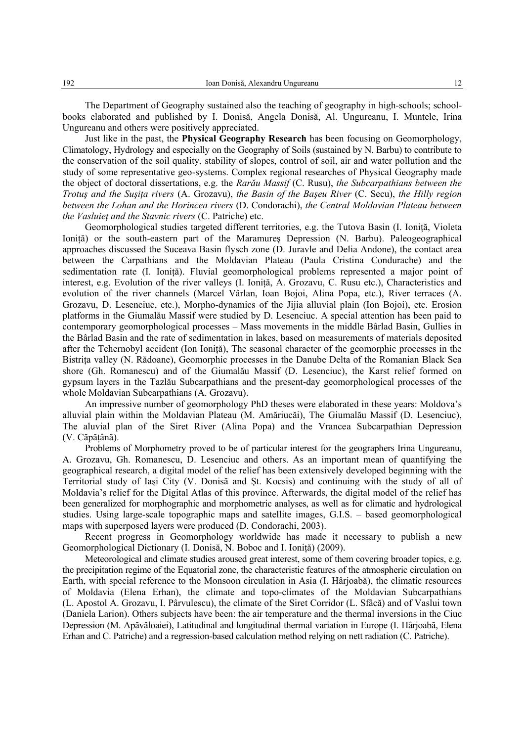The Department of Geography sustained also the teaching of geography in high-schools; schoolbooks elaborated and published by I. Donisă, Angela Donisă, Al. Ungureanu, I. Muntele, Irina Ungureanu and others were positively appreciated.

Just like in the past, the **Physical Geography Research** has been focusing on Geomorphology, Climatology, Hydrology and especially on the Geography of Soils (sustained by N. Barbu) to contribute to the conservation of the soil quality, stability of slopes, control of soil, air and water pollution and the study of some representative geo-systems. Complex regional researches of Physical Geography made the object of doctoral dissertations, e.g. the *Rarău Massif* (C. Rusu), *the Subcarpathians between the Trotuş and the Suşiţa rivers* (A. Grozavu), *the Basin of the Başeu River* (C. Secu), *the Hilly region between the Lohan and the Horincea rivers* (D. Condorachi), *the Central Moldavian Plateau between the Vasluieţ and the Stavnic rivers* (C. Patriche) etc.

Geomorphological studies targeted different territories, e.g. the Tutova Basin (I. Ioniță, Violeta Ioniță) or the south-eastern part of the Maramures Depression (N. Barbu). Paleogeographical approaches discussed the Suceava Basin flysch zone (D. Juravle and Delia Andone), the contact area between the Carpathians and the Moldavian Plateau (Paula Cristina Condurache) and the sedimentation rate (I. Ioniţă). Fluvial geomorphological problems represented a major point of interest, e.g. Evolution of the river valleys (I. Ionită, A. Grozavu, C. Rusu etc.), Characteristics and evolution of the river channels (Marcel Vârlan, Ioan Bojoi, Alina Popa, etc.), River terraces (A. Grozavu, D. Lesenciuc, etc.), Morpho-dynamics of the Jijia alluvial plain (Ion Bojoi), etc. Erosion platforms in the Giumalău Massif were studied by D. Lesenciuc. A special attention has been paid to contemporary geomorphological processes – Mass movements in the middle Bârlad Basin, Gullies in the Bârlad Basin and the rate of sedimentation in lakes, based on measurements of materials deposited after the Tchernobyl accident (Ion Ioniţă), The seasonal character of the geomorphic processes in the Bistriţa valley (N. Rădoane), Geomorphic processes in the Danube Delta of the Romanian Black Sea shore (Gh. Romanescu) and of the Giumalău Massif (D. Lesenciuc), the Karst relief formed on gypsum layers in the Tazlău Subcarpathians and the present-day geomorphological processes of the whole Moldavian Subcarpathians (A. Grozavu).

An impressive number of geomorphology PhD theses were elaborated in these years: Moldova's alluvial plain within the Moldavian Plateau (M. Amăriucăi), The Giumalău Massif (D. Lesenciuc), The aluvial plan of the Siret River (Alina Popa) and the Vrancea Subcarpathian Depression (V. Căpăţână).

Problems of Morphometry proved to be of particular interest for the geographers Irina Ungureanu, A. Grozavu, Gh. Romanescu, D. Lesenciuc and others. As an important mean of quantifying the geographical research, a digital model of the relief has been extensively developed beginning with the Territorial study of Iaşi City (V. Donisă and Şt. Kocsis) and continuing with the study of all of Moldavia's relief for the Digital Atlas of this province. Afterwards, the digital model of the relief has been generalized for morphographic and morphometric analyses, as well as for climatic and hydrological studies. Using large-scale topographic maps and satellite images, G.I.S. – based geomorphological maps with superposed layers were produced (D. Condorachi, 2003).

Recent progress in Geomorphology worldwide has made it necessary to publish a new Geomorphological Dictionary (I. Donisă, N. Boboc and I. Ionită) (2009).

Meteorological and climate studies aroused great interest, some of them covering broader topics, e.g. the precipitation regime of the Equatorial zone, the characteristic features of the atmospheric circulation on Earth, with special reference to the Monsoon circulation in Asia (I. Hârjoabă), the climatic resources of Moldavia (Elena Erhan), the climate and topo-climates of the Moldavian Subcarpathians (L. Apostol A. Grozavu, I. Pârvulescu), the climate of the Siret Corridor (L. Sfâcă) and of Vaslui town (Daniela Larion). Others subjects have been: the air temperature and the thermal inversions in the Ciuc Depression (M. Apăvăloaiei), Latitudinal and longitudinal thermal variation in Europe (I. Hârjoabă, Elena Erhan and C. Patriche) and a regression-based calculation method relying on nett radiation (C. Patriche).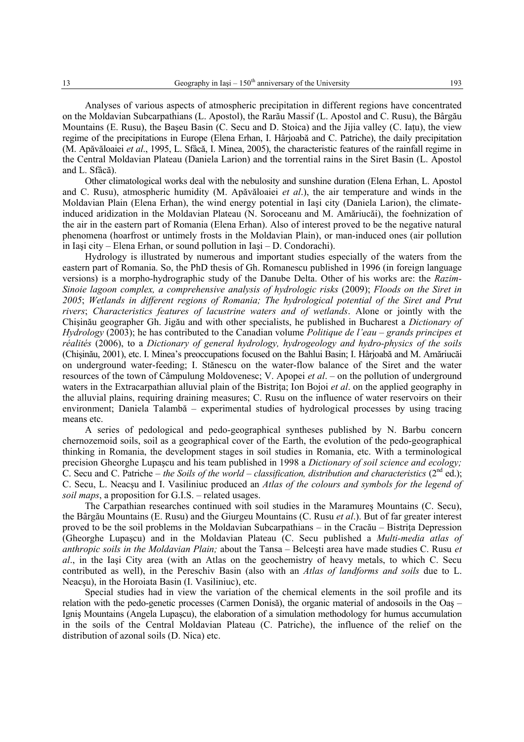Analyses of various aspects of atmospheric precipitation in different regions have concentrated on the Moldavian Subcarpathians (L. Apostol), the Rarău Massif (L. Apostol and C. Rusu), the Bârgău Mountains (E. Rusu), the Başeu Basin (C. Secu and D. Stoica) and the Jijia valley (C. Iaţu), the view regime of the precipitations in Europe (Elena Erhan, I. Hârjoabă and C. Patriche), the daily precipitation (M. Apăvăloaiei *et al*., 1995, L. Sfâcă, I. Minea, 2005), the characteristic features of the rainfall regime in the Central Moldavian Plateau (Daniela Larion) and the torrential rains in the Siret Basin (L. Apostol and L. Sfâcă).

Other climatological works deal with the nebulosity and sunshine duration (Elena Erhan, L. Apostol and C. Rusu), atmospheric humidity (M. Apăvăloaiei *et al*.), the air temperature and winds in the Moldavian Plain (Elena Erhan), the wind energy potential in Iaşi city (Daniela Larion), the climateinduced aridization in the Moldavian Plateau (N. Soroceanu and M. Amăriucăi), the foehnization of the air in the eastern part of Romania (Elena Erhan). Also of interest proved to be the negative natural phenomena (hoarfrost or untimely frosts in the Moldavian Plain), or man-induced ones (air pollution in Iaşi city – Elena Erhan, or sound pollution in Iaşi – D. Condorachi).

Hydrology is illustrated by numerous and important studies especially of the waters from the eastern part of Romania. So, the PhD thesis of Gh. Romanescu published in 1996 (in foreign language versions) is a morpho-hydrographic study of the Danube Delta. Other of his works are: the *Razim-Sinoie lagoon complex, a comprehensive analysis of hydrologic risks* (2009); *Floods on the Siret in 2005*; *Wetlands in different regions of Romania; The hydrological potential of the Siret and Prut rivers*; *Characteristics features of lacustrine waters and of wetlands*. Alone or jointly with the Chişinău geographer Gh. Jigău and with other specialists, he published in Bucharest a *Dictionary of Hydrology* (2003); he has contributed to the Canadian volume *Politique de l'eau – grands principes et réalités* (2006), to a *Dictionary of general hydrology, hydrogeology and hydro-physics of the soils* (Chişinău, 2001), etc. I. Minea's preoccupations focused on the Bahlui Basin; I. Hârjoabă and M. Amăriucăi on underground water-feeding; I. Stănescu on the water-flow balance of the Siret and the water resources of the town of Câmpulung Moldovenesc; V. Apopei *et al*. – on the pollution of underground waters in the Extracarpathian alluvial plain of the Bistrita; Ion Bojoi *et al.* on the applied geography in the alluvial plains, requiring draining measures; C. Rusu on the influence of water reservoirs on their environment; Daniela Talambă – experimental studies of hydrological processes by using tracing means etc.

A series of pedological and pedo-geographical syntheses published by N. Barbu concern chernozemoid soils, soil as a geographical cover of the Earth, the evolution of the pedo-geographical thinking in Romania, the development stages in soil studies in Romania, etc. With a terminological precision Gheorghe Lupaşcu and his team published in 1998 a *Dictionary of soil science and ecology;* C. Secu and C. Patriche – *the Soils of the world – classification, distribution and characteristics*  $(2^{nd}$  ed.); C. Secu, L. Neacşu and I. Vasiliniuc produced an *Atlas of the colours and symbols for the legend of soil maps*, a proposition for G.I.S. – related usages.

The Carpathian researches continued with soil studies in the Maramureş Mountains (C. Secu), the Bârgău Mountains (E. Rusu) and the Giurgeu Mountains (C. Rusu *et al*.). But of far greater interest proved to be the soil problems in the Moldavian Subcarpathians – in the Cracău – Bistriţa Depression (Gheorghe Lupaşcu) and in the Moldavian Plateau (C. Secu published a *Multi-media atlas of anthropic soils in the Moldavian Plain;* about the Tansa – Belceşti area have made studies C. Rusu *et al*., in the Iaşi City area (with an Atlas on the geochemistry of heavy metals, to which C. Secu contributed as well), in the Pereschiv Basin (also with an *Atlas of landforms and soils* due to L. Neacşu), in the Horoiata Basin (I. Vasiliniuc), etc.

Special studies had in view the variation of the chemical elements in the soil profile and its relation with the pedo-genetic processes (Carmen Donisă), the organic material of andosoils in the Oaş – Igniş Mountains (Angela Lupaşcu), the elaboration of a simulation methodology for humus accumulation in the soils of the Central Moldavian Plateau (C. Patriche), the influence of the relief on the distribution of azonal soils (D. Nica) etc.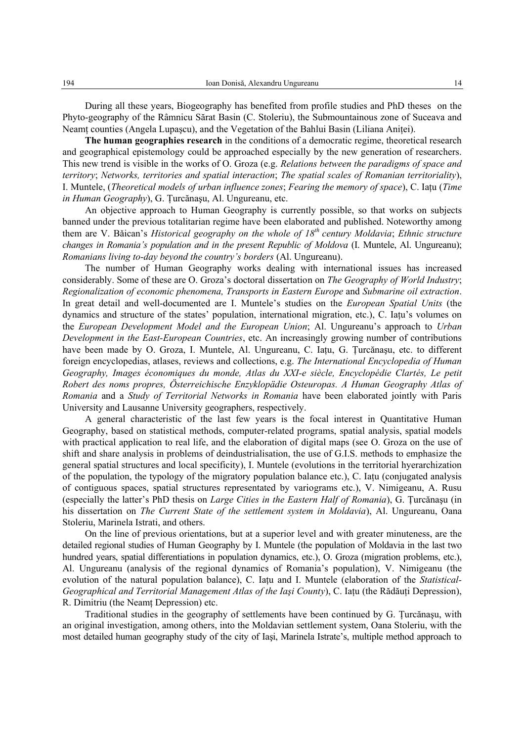During all these years, Biogeography has benefited from profile studies and PhD theses on the Phyto-geography of the Râmnicu Sărat Basin (C. Stoleriu), the Submountainous zone of Suceava and Neamţ counties (Angela Lupaşcu), and the Vegetation of the Bahlui Basin (Liliana Aniţei).

**The human geographies research** in the conditions of a democratic regime, theoretical research and geographical epistemology could be approached especially by the new generation of researchers. This new trend is visible in the works of O. Groza (e.g. *Relations between the paradigms of space and territory*; *Networks, territories and spatial interaction*; *The spatial scales of Romanian territoriality*), I. Muntele, (*Theoretical models of urban influence zones*; *Fearing the memory of space*), C. Iaţu (*Time in Human Geography*), G. Ţurcănaşu, Al. Ungureanu, etc.

An objective approach to Human Geography is currently possible, so that works on subjects banned under the previous totalitarian regime have been elaborated and published. Noteworthy among them are V. Bǎican's *Historical geography on the whole of 18th century Moldavia*; *Ethnic structure changes in Romania's population and in the present Republic of Moldova* (I. Muntele, Al. Ungureanu); *Romanians living to-day beyond the country's borders* (Al. Ungureanu).

The number of Human Geography works dealing with international issues has increased considerably. Some of these are O. Groza's doctoral dissertation on *The Geography of World Industry*; *Regionalization of economic phenomena, Transports in Eastern Europe* and *Submarine oil extraction*. In great detail and well-documented are I. Muntele's studies on the *European Spatial Units* (the dynamics and structure of the states' population, international migration, etc.), C. Iaţu's volumes on the *European Development Model and the European Union*; Al. Ungureanu's approach to *Urban Development in the East-European Countries*, etc. An increasingly growing number of contributions have been made by O. Groza, I. Muntele, Al. Ungureanu, C. Iațu, G. Țurcănașu, etc. to different foreign encyclopedias, atlases, reviews and collections, e.g. *The International Encyclopedia of Human Geography, Images économiques du monde, Atlas du XXI-e siècle, Encyclopédie Clartés, Le petit Robert des noms propres, Österreichische Enzyklopädie Osteuropas. A Human Geography Atlas of Romania* and a *Study of Territorial Networks in Romania* have been elaborated jointly with Paris University and Lausanne University geographers, respectively.

A general characteristic of the last few years is the focal interest in Quantitative Human Geography, based on statistical methods, computer-related programs, spatial analysis, spatial models with practical application to real life, and the elaboration of digital maps (see O. Groza on the use of shift and share analysis in problems of deindustrialisation, the use of G.I.S. methods to emphasize the general spatial structures and local specificity), I. Muntele (evolutions in the territorial hyerarchization of the population, the typology of the migratory population balance etc.), C. Iaţu (conjugated analysis of contiguous spaces, spatial structures representated by variograms etc.), V. Nimigeanu, A. Rusu (especially the latter's PhD thesis on *Large Cities in the Eastern Half of Romania*), G. Ţurcănaşu (in his dissertation on *The Current State of the settlement system in Moldavia*), Al. Ungureanu, Oana Stoleriu, Marinela Istrati, and others.

On the line of previous orientations, but at a superior level and with greater minuteness, are the detailed regional studies of Human Geography by I. Muntele (the population of Moldavia in the last two hundred years, spatial differentiations in population dynamics, etc.), O. Groza (migration problems, etc.), Al. Ungureanu (analysis of the regional dynamics of Romania's population), V. Nimigeanu (the evolution of the natural population balance), C. Iaţu and I. Muntele (elaboration of the *Statistical-Geographical and Territorial Management Atlas of the Iaşi County*), C. Iaţu (the Rădăuţi Depression), R. Dimitriu (the Neamt Depression) etc.

Traditional studies in the geography of settlements have been continued by G. Ţurcănaşu, with an original investigation, among others, into the Moldavian settlement system, Oana Stoleriu, with the most detailed human geography study of the city of Iaşi, Marinela Istrate's, multiple method approach to